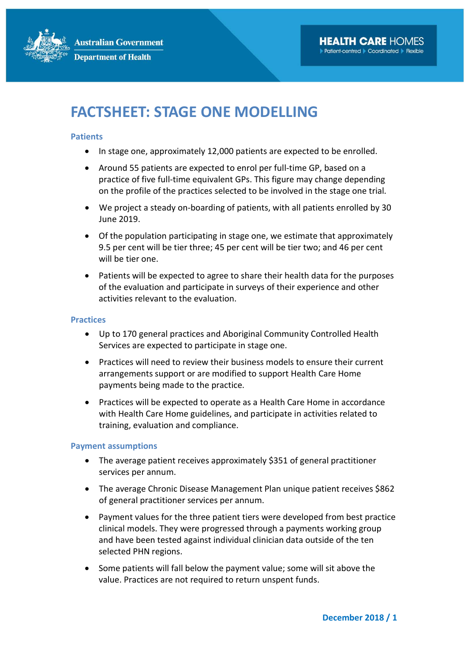

## FACTSHEET: STAGE ONE MODELLING

## **Patients**

- In stage one, approximately 12,000 patients are expected to be enrolled.
- Around 55 patients are expected to enrol per full-time GP, based on a practice of five full-time equivalent GPs. This figure may change depending on the profile of the practices selected to be involved in the stage one trial.
- We project a steady on-boarding of patients, with all patients enrolled by 30 June 2019.
- Of the population participating in stage one, we estimate that approximately 9.5 per cent will be tier three; 45 per cent will be tier two; and 46 per cent will be tier one.
- Patients will be expected to agree to share their health data for the purposes of the evaluation and participate in surveys of their experience and other activities relevant to the evaluation.

## **Practices**

- Up to 170 general practices and Aboriginal Community Controlled Health Services are expected to participate in stage one.
- Practices will need to review their business models to ensure their current arrangements support or are modified to support Health Care Home payments being made to the practice.
- Practices will be expected to operate as a Health Care Home in accordance with Health Care Home guidelines, and participate in activities related to training, evaluation and compliance.

## Payment assumptions

- The average patient receives approximately \$351 of general practitioner services per annum.
- The average Chronic Disease Management Plan unique patient receives \$862 of general practitioner services per annum.
- Payment values for the three patient tiers were developed from best practice clinical models. They were progressed through a payments working group and have been tested against individual clinician data outside of the ten selected PHN regions.
- Some patients will fall below the payment value; some will sit above the value. Practices are not required to return unspent funds.